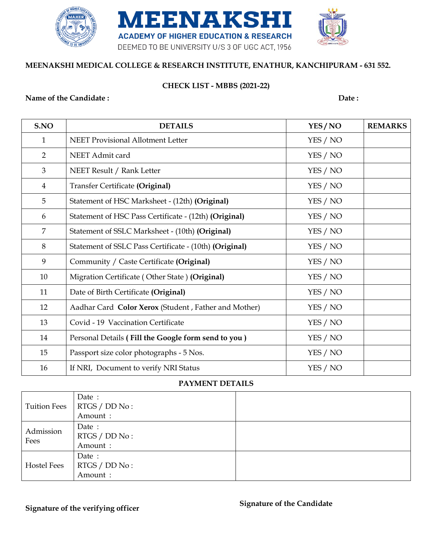

### **MEENAKSHI MEDICAL COLLEGE & RESEARCH INSTITUTE, ENATHUR, KANCHIPURAM - 631 552.**

### **CHECK LIST - MBBS (2021-22)**

#### **Name of the Candidate : Date : Date : Date :**

| S.NO           | <b>DETAILS</b>                                         | YES/NO   | <b>REMARKS</b> |
|----------------|--------------------------------------------------------|----------|----------------|
| $\mathbf{1}$   | <b>NEET Provisional Allotment Letter</b>               | YES / NO |                |
| 2              | NEET Admit card                                        | YES / NO |                |
| 3              | NEET Result / Rank Letter                              | YES / NO |                |
| $\overline{4}$ | <b>Transfer Certificate (Original)</b>                 | YES / NO |                |
| 5              | Statement of HSC Marksheet - (12th) (Original)         | YES / NO |                |
| 6              | Statement of HSC Pass Certificate - (12th) (Original)  | YES / NO |                |
| $\overline{7}$ | Statement of SSLC Marksheet - (10th) (Original)        | YES / NO |                |
| 8              | Statement of SSLC Pass Certificate - (10th) (Original) | YES / NO |                |
| 9              | Community / Caste Certificate (Original)               | YES / NO |                |
| 10             | Migration Certificate (Other State) (Original)         | YES / NO |                |
| 11             | Date of Birth Certificate (Original)                   | YES / NO |                |
| 12             | Aadhar Card Color Xerox (Student, Father and Mother)   | YES / NO |                |
| 13             | Covid - 19 Vaccination Certificate                     | YES / NO |                |
| 14             | Personal Details (Fill the Google form send to you)    | YES / NO |                |
| 15             | Passport size color photographs - 5 Nos.               | YES / NO |                |
| 16             | If NRI, Document to verify NRI Status                  | YES / NO |                |

#### **PAYMENT DETAILS**

| <b>Tuition Fees</b> | Date :<br>RTGS / DD No :<br>Amount: |  |
|---------------------|-------------------------------------|--|
| Admission<br>Fees   | Date:<br>RTGS / DD No :<br>Amount:  |  |
| <b>Hostel Fees</b>  | Date:<br>RTGS / DD No :<br>Amount:  |  |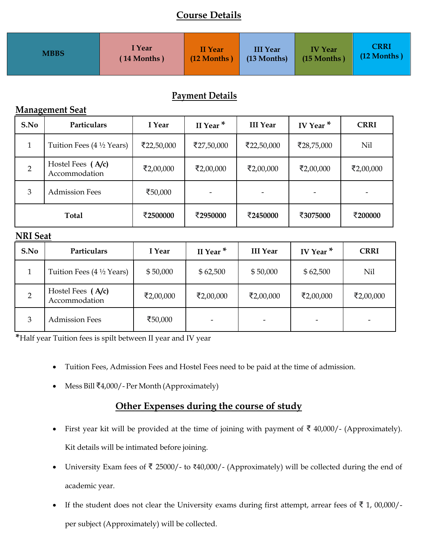# **Course Details**

| <b>MBBS</b> | I Year        | <b>II</b> Year | <b>III Year</b> | <b>IV Year</b> | <b>CRRI</b>   |
|-------------|---------------|----------------|-----------------|----------------|---------------|
|             | $(14$ Months) | $(12$ Months   | (13 Months)     | (15 Months)    | $(12$ Months) |

# **Payment Details**

## **Management Seat**

| S.No         | Particulars                                  | I Year     | II Year <sup>*</sup>     | <b>III Year</b> | IV Year $*$ | <b>CRRI</b> |
|--------------|----------------------------------------------|------------|--------------------------|-----------------|-------------|-------------|
| 1            | Tuition Fees $(4 \frac{1}{2} \text{ Years})$ | ₹22,50,000 | ₹27,50,000               | ₹22,50,000      | ₹28,75,000  | <b>Nil</b>  |
| 2            | Hostel Fees (A/c)<br>Accommodation           | ₹2,00,000  | ₹2,00,000                | ₹2,00,000       | ₹2,00,000   | ₹2,00,000   |
| 3            | <b>Admission Fees</b>                        | ₹50,000    | $\overline{\phantom{a}}$ |                 |             |             |
| <b>Total</b> |                                              | ₹2500000   | ₹2950000                 | ₹2450000        | ₹3075000    | ₹200000     |

### **NRI Seat**

| S.No | Particulars                         | I Year    | II Year $*$ | <b>III Year</b> | IV Year <sup>*</sup> | <b>CRRI</b>    |
|------|-------------------------------------|-----------|-------------|-----------------|----------------------|----------------|
|      | Tuition Fees $(4\frac{1}{2}$ Years) | \$50,000  | \$62,500    | \$50,000        | \$62,500             | Nil            |
|      | Hostel Fees (A/c)<br>Accommodation  | ₹2,00,000 | ₹2,00,000   | ₹2,00,000       | ₹2,00,000            | ₹2,00,000      |
| 3    | <b>Admission Fees</b>               | ₹50,000   |             |                 |                      | $\overline{ }$ |

**\***Half year Tuition fees is spilt between II year and IV year

- Tuition Fees, Admission Fees and Hostel Fees need to be paid at the time of admission.
- Mess Bill ₹4,000/- Per Month (Approximately)

# **Other Expenses during the course of study**

- First year kit will be provided at the time of joining with payment of  $\bar{\xi}$  40,000/- (Approximately). Kit details will be intimated before joining.
- University Exam fees of ₹ 25000/- to ₹40,000/- (Approximately) will be collected during the end of academic year.
- If the student does not clear the University exams during first attempt, arrear fees of ₹ 1, 00,000/ per subject (Approximately) will be collected.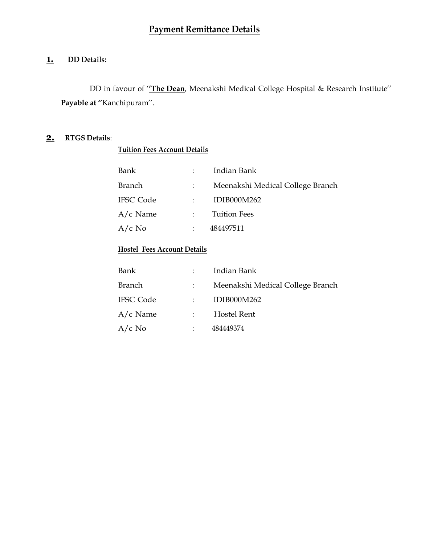### **1. DD Details:**

DD in favour of '**'The Dean**, Meenakshi Medical College Hospital & Research Institute''  **Payable at ''**Kanchipuram''.

### **2. RTGS Details**:

### **Tuition Fees Account Details**

| Bank             | Indian Bank                      |
|------------------|----------------------------------|
| Branch           | Meenakshi Medical College Branch |
| <b>IFSC Code</b> | <b>IDIB000M262</b>               |
| $A/c$ Name       | <b>Tuition Fees</b>              |
| $A/c$ No         | 484497511                        |

### **Hostel Fees Account Details**

| Bank             |                      | Indian Bank                      |
|------------------|----------------------|----------------------------------|
| <b>Branch</b>    |                      | Meenakshi Medical College Branch |
| <b>IFSC Code</b> |                      | IDIB000M262                      |
| $A/c$ Name       |                      | Hostel Rent                      |
| $A/c$ No         | $\ddot{\phantom{a}}$ | 484449374                        |